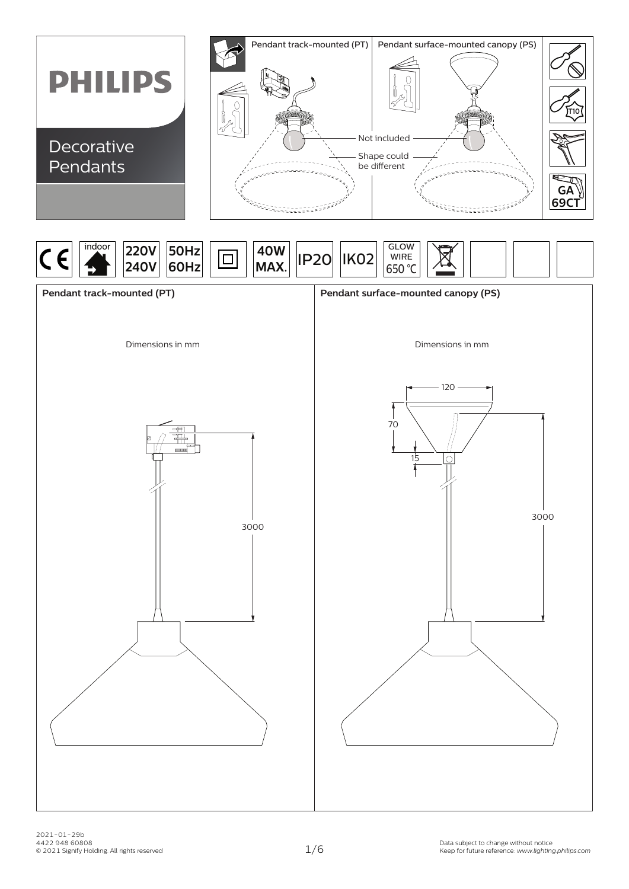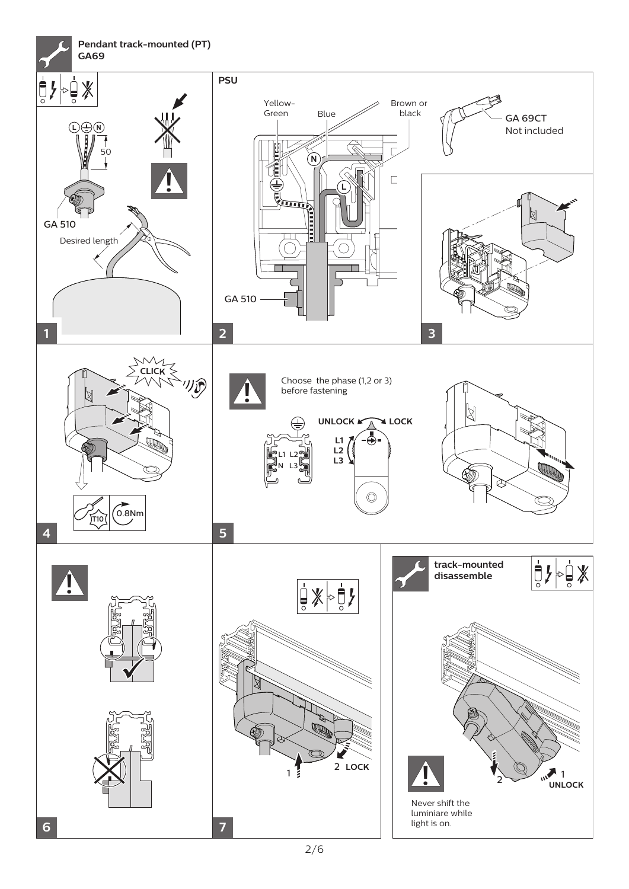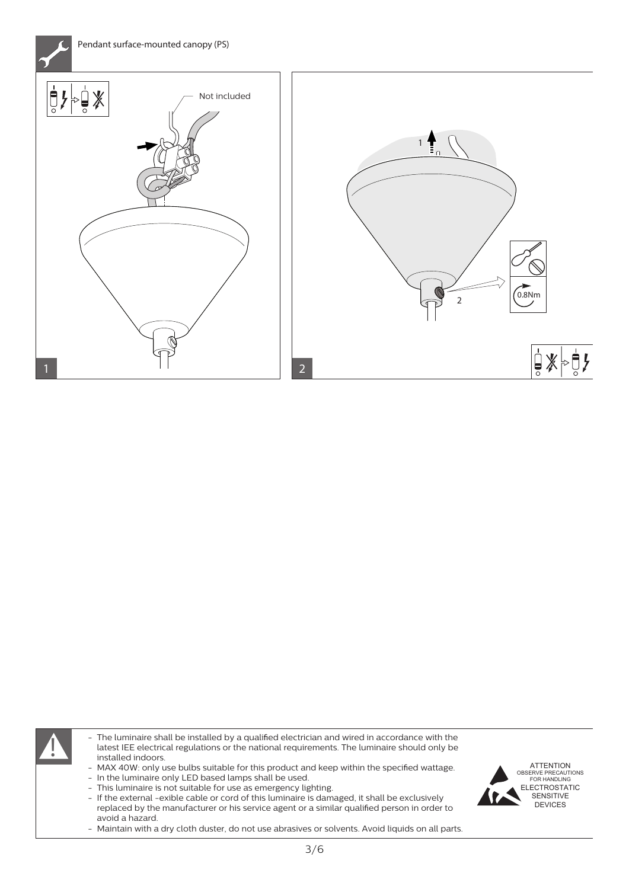

The luminaire shall be installed by a qualified electrician and wired in accordance with the latest IEE electrical regulations or the national requirements. The luminaire should only be installed indoors. latest IEE electrical regulations or the national requirements. The luminaire should only be installed indoors. - The luminaire shall be installed by a qualified electrician and wired in accordance with the

- MAX 40W: only use bulbs suitable for this product and keep within the specified wattage.
- In the luminaire only LED based lamps shall be used.
- This luminaire is not suitable for use as emergency lighting.

- If the external -exible cable or cord of this luminaire is damaged, it shall be exclusively replaced by the manufacturer or his service agent or a similar qualified person in order to avoid a hazard.

Maintain with a dry cloth duster, do not use abrasives or solvents. Avoid liquids on all parts. -

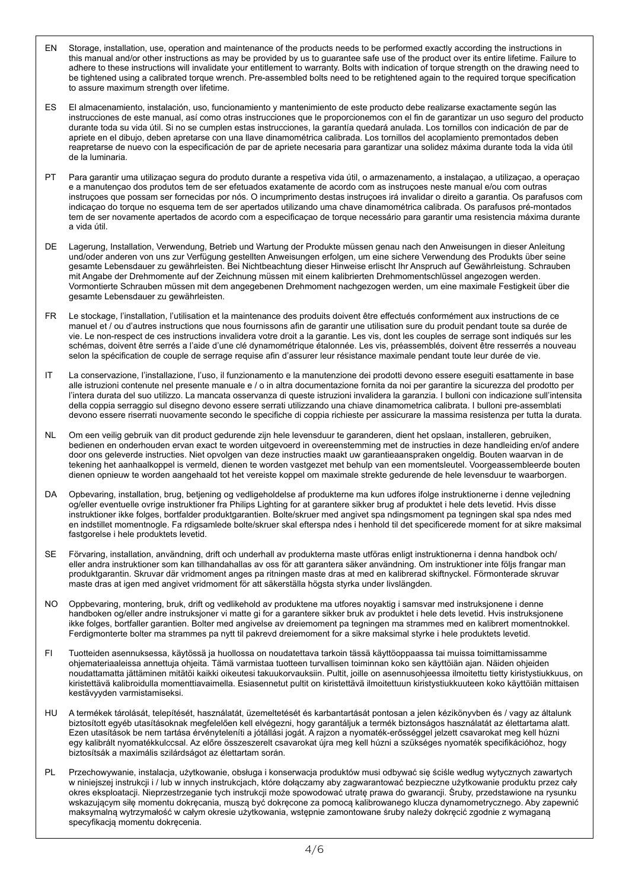- EN Storage, installation, use, operation and maintenance of the products needs to be performed exactly according the instructions in this manual and/or other instructions as may be provided by us to guarantee safe use of the product over its entire lifetime. Failure to adhere to these instructions will invalidate your entitlement to warranty. Bolts with indication of torque strength on the drawing need to be tightened using a calibrated torque wrench. Pre-assembled bolts need to be retightened again to the required torque specification to assure maximum strength over lifetime.
- ES El almacenamiento, instalación, uso, funcionamiento y mantenimiento de este producto debe realizarse exactamente según las instrucciones de este manual, así como otras instrucciones que le proporcionemos con el fin de garantizar un uso seguro del producto durante toda su vida útil. Si no se cumplen estas instrucciones, la garantía quedará anulada. Los tornillos con indicación de par de apriete en el dibujo, deben apretarse con una llave dinamométrica calibrada. Los tornillos del acoplamiento premontados deben reapretarse de nuevo con la especificación de par de apriete necesaria para garantizar una solidez máxima durante toda la vida útil de la luminaria.
- PT Para garantir uma utilizaçao segura do produto durante a respetiva vida útil, o armazenamento, a instalaçao, a utilizaçao, a operaçao e a manutençao dos produtos tem de ser efetuados exatamente de acordo com as instruçoes neste manual e/ou com outras instruçoes que possam ser fornecidas por nós. O incumprimento destas instruçoes irá invalidar o direito a garantia. Os parafusos com indicaçao do torque no esquema tem de ser apertados utilizando uma chave dinamométrica calibrada. Os parafusos pré-montados tem de ser novamente apertados de acordo com a especificaçao de torque necessário para garantir uma resistencia máxima durante a vida útil.
- DE Lagerung, Installation, Verwendung, Betrieb und Wartung der Produkte müssen genau nach den Anweisungen in dieser Anleitung und/oder anderen von uns zur Verfügung gestellten Anweisungen erfolgen, um eine sichere Verwendung des Produkts über seine gesamte Lebensdauer zu gewährleisten. Bei Nichtbeachtung dieser Hinweise erlischt Ihr Anspruch auf Gewährleistung. Schrauben mit Angabe der Drehmomente auf der Zeichnung müssen mit einem kalibrierten Drehmomentschlüssel angezogen werden. Vormontierte Schrauben müssen mit dem angegebenen Drehmoment nachgezogen werden, um eine maximale Festigkeit über die gesamte Lebensdauer zu gewährleisten.
- FR Le stockage, l'installation, l'utilisation et la maintenance des produits doivent être effectués conformément aux instructions de ce manuel et / ou d'autres instructions que nous fournissons afin de garantir une utilisation sure du produit pendant toute sa durée de vie. Le non-respect de ces instructions invalidera votre droit a la garantie. Les vis, dont les couples de serrage sont indiqués sur les schémas, doivent être serrés a l'aide d'une clé dynamométrique étalonnée. Les vis, préassemblés, doivent être resserrés a nouveau selon la spécification de couple de serrage requise afin d'assurer leur résistance maximale pendant toute leur durée de vie.
- IT La conservazione, l'installazione, l'uso, il funzionamento e la manutenzione dei prodotti devono essere eseguiti esattamente in base alle istruzioni contenute nel presente manuale e / o in altra documentazione fornita da noi per garantire la sicurezza del prodotto per l'intera durata del suo utilizzo. La mancata osservanza di queste istruzioni invalidera la garanzia. I bulloni con indicazione sull'intensita della coppia serraggio sul disegno devono essere serrati utilizzando una chiave dinamometrica calibrata. I bulloni pre-assemblati devono essere riserrati nuovamente secondo le specifiche di coppia richieste per assicurare la massima resistenza per tutta la durata.
- NL Om een veilig gebruik van dit product gedurende zijn hele levensduur te garanderen, dient het opslaan, installeren, gebruiken, bedienen en onderhouden ervan exact te worden uitgevoerd in overeenstemming met de instructies in deze handleiding en/of andere door ons geleverde instructies. Niet opvolgen van deze instructies maakt uw garantieaanspraken ongeldig. Bouten waarvan in de tekening het aanhaalkoppel is vermeld, dienen te worden vastgezet met behulp van een momentsleutel. Voorgeassembleerde bouten dienen opnieuw te worden aangehaald tot het vereiste koppel om maximale strekte gedurende de hele levensduur te waarborgen.
- DA Opbevaring, installation, brug, betjening og vedligeholdelse af produkterne ma kun udfores ifolge instruktionerne i denne vejledning og/eller eventuelle ovrige instruktioner fra Philips Lighting for at garantere sikker brug af produktet i hele dets levetid. Hvis disse instruktioner ikke folges, bortfalder produktgarantien. Bolte/skruer med angivet spa ndingsmoment pa tegningen skal spa ndes med en indstillet momentnogle. Fa rdigsamlede bolte/skruer skal efterspa ndes i henhold til det specificerede moment for at sikre maksimal fastgorelse i hele produktets levetid.
- SE Förvaring, installation, användning, drift och underhall av produkterna maste utföras enligt instruktionerna i denna handbok och/ eller andra instruktioner som kan tillhandahallas av oss för att garantera säker användning. Om instruktioner inte följs frangar man produktgarantin. Skruvar där vridmoment anges pa ritningen maste dras at med en kalibrerad skiftnyckel. Förmonterade skruvar maste dras at igen med angivet vridmoment för att säkerställa högsta styrka under livslängden.
- NO Oppbevaring, montering, bruk, drift og vedlikehold av produktene ma utfores noyaktig i samsvar med instruksjonene i denne handboken og/eller andre instruksjoner vi matte gi for a garantere sikker bruk av produktet i hele dets levetid. Hvis instruksjonene ikke folges, bortfaller garantien. Bolter med angivelse av dreiemoment pa tegningen ma strammes med en kalibrert momentnokkel. Ferdigmonterte bolter ma strammes pa nytt til pakrevd dreiemoment for a sikre maksimal styrke i hele produktets levetid.
- FI Tuotteiden asennuksessa, käytössä ja huollossa on noudatettava tarkoin tässä käyttöoppaassa tai muissa toimittamissamme ohjemateriaaleissa annettuja ohjeita. Tämä varmistaa tuotteen turvallisen toiminnan koko sen käyttöiän ajan. Näiden ohjeiden noudattamatta jättäminen mitätöi kaikki oikeutesi takuukorvauksiin. Pultit, joille on asennusohjeessa ilmoitettu tietty kiristystiukkuus, on kiristettävä kalibroidulla momenttiavaimella. Esiasennetut pultit on kiristettävä ilmoitettuun kiristystiukkuuteen koko käyttöiän mittaisen kestävyyden varmistamiseksi.
- HU A termékek tárolását, telepítését, használatát, üzemeltetését és karbantartását pontosan a jelen kézikönyvben és / vagy az általunk biztosított egyéb utasításoknak megfelelően kell elvégezni, hogy garantáljuk a termék biztonságos használatát az élettartama alatt. Ezen utasítások be nem tartása érvényteleníti a jótállási jogát. A rajzon a nyomaték-erősséggel jelzett csavarokat meg kell húzni egy kalibrált nyomatékkulccsal. Az előre összeszerelt csavarokat újra meg kell húzni a szükséges nyomaték specifikációhoz, hogy biztosítsák a maximális szilárdságot az élettartam során.
- PL Przechowywanie, instalacja, użytkowanie, obsługa i konserwacja produktów musi odbywać się ściśle według wytycznych zawartych w niniejszej instrukcji i / lub w innych instrukcjach, które dołączamy aby zagwarantować bezpieczne użytkowanie produktu przez cały okres eksploatacji. Nieprzestrzeganie tych instrukcji może spowodować utratę prawa do gwarancji. Śruby, przedstawione na rysunku wskazującym siłę momentu dokręcania, muszą być dokręcone za pomocą kalibrowanego klucza dynamometrycznego. Aby zapewnić maksymalną wytrzymałość w całym okresie użytkowania, wstępnie zamontowane śruby należy dokręcić zgodnie z wymaganą specyfikacją momentu dokręcenia.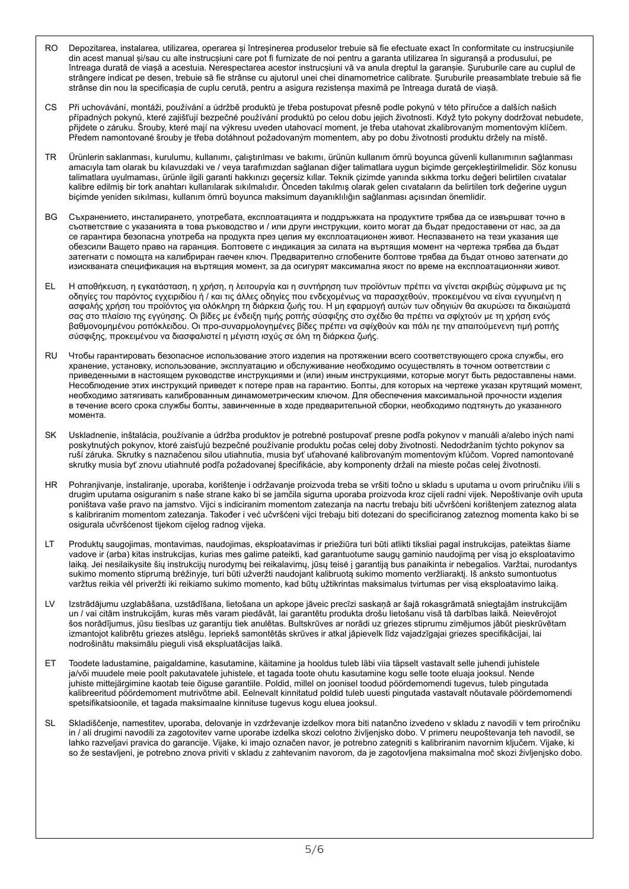- RO Depozitarea, instalarea, utilizarea, operarea și întreșinerea produselor trebuie să fie efectuate exact în conformitate cu instrucșiunile din acest manual și/sau cu alte instrucșiuni care pot fi furnizate de noi pentru a garanta utilizarea în siguranșă a produsului, pe întreaga durată de viașă a acestuia. Nerespectarea acestor instrucșiuni vă va anula dreptul la garanșie. Șuruburile care au cuplul de strângere indicat pe desen, trebuie să fie strânse cu ajutorul unei chei dinamometrice calibrate. Șuruburile preasamblate trebuie să fie strânse din nou la specificașia de cuplu cerută, pentru a asigura rezistenșa maximă pe întreaga durată de viașă.
- CS Při uchovávání, montáži, používání a údržbě produktů je třeba postupovat přesně podle pokynů v této příručce a dalších našich případných pokynů, které zajišťují bezpečné používání produktů po celou dobu jejich životnosti. Když tyto pokyny dodržovat nebudete, přijdete o záruku. Šrouby, které mají na výkresu uveden utahovací moment, je třeba utahovat zkalibrovaným momentovým klíčem. Předem namontované šrouby je třeba dotáhnout požadovaným momentem, aby po dobu životnosti produktu držely na místě.
- TR Ürünlerin saklanması, kurulumu, kullanımı, çalıştırılması ve bakımı, ürünün kullanım ömrü boyunca güvenli kullanımının sağlanması amacıyla tam olarak bu kılavuzdaki ve / veya tarafımızdan sağlanan diğer talimatlara uygun biçimde gerçekleştirilmelidir. Söz konusu talimatlara uyulmaması, ürünle ilgili garanti hakkınızı geçersiz kıllar. Teknik çizimde yanında sıkkma torku değeri belirtilen cıvatalar kalibre edilmiş bir tork anahtarı kullanılarak sıkılmalıdır. Önceden takılmış olarak gelen cıvataların da belirtilen tork değerine uygun biçimde yeniden sıkılması, kullanım ömrü boyunca maksimum dayanıklılığın sağlanması açısından önemlidir.
- ВG Съхранението, инсталирането, употребата, експлоатацията и поддръжката на продуктите трябва да се извършват точно в съответствие с yкaзaнията в това ръководство и / или други инструкции, които могат да бъдат предоставени от нас, за да ce гарантира безопаснa yпoтpeбa на продукта през целия му експлоатационен живот. Hecпaзвaнeтo на тези yкaзaния ще обезсили Baщетo право на гаранция. Болтовете с индикация за силата на въртящия момент на чертежа трябва да бъдат затегнати с помощта на калибриран гаечен ключ. Предварително сглобените болтове трябва да бъдат отново затегнати дo изиcквaнатa спецификация на въртящия момент, за да осигурят максимална якoст по врeмe на eкcплoaтaциoнняи живот.
- EL Η αποθήκευση, η εγκατάσταση, η χρήση, η λειτουργία και η συντήρηση των προϊόντων πρέπει να γίνεται ακριβώς σύμφωνα με τις οδηγίες του παρόντος εγχειριδίου ή / και τις άλλες οδηγίες που ενδεχοµένως να παρασχεθούν, προκειµένου να είναι εγγυηµένη η ασφαλής χρήση του προϊόντος για ολόκληρη τη διάρκεια ζωής του. Η µη εφαρµογή αυτών των οδηγιών θα ακυρώσει τα δικαιώµατά σας στο πλαίσιο της εγγύησης. Οι βίδες µε ένδειξη τιµής ροπής σύσφιξης στο σχέδιο θα πρέπει να σφίχτούν µε τη χρήση ενός βαθµονοµηµένου ροπόκλειδου. Οι προ-συναρµολογηµένες βίδες πρέπει να σφίχθούν και πάλι ηε τηv απαιτούµενεvη τιµή ροπής σύσφιξης, προκειµένου να διασφαλιστεί η µέγιστη ισχύς σε όλη τη διάρκεια ζωής.
- RU Чтобы гарантировать безопасное использование этого изделия на протяжении всего соответствующего срока службы, его хранение, установку, использование, эксплуатацию и обслуживание необходимо осуществлять в точном оответствии с приведенными в настоящем руководстве инструкциями и (или) иным инструкциями, которые могут быть редоставлены нами. Несоблюдение этих инструкций приведет к потере прав на гарантию. Болты, для которых на чертеже указан крутящий момент, необходимо затягивать калиброванным динамометрическим ключом. Для обеспечения максимальной прочности изделия в течение всего срока службы болты, завинченные в ходе предварительной сборки, необходимо подтянуть до указанного момента.
- SK Uskladnenie, inštalácia, používanie a údržba produktov je potrebné postupovať presne podľa pokynov v manuáli a/alebo iných nami poskytnutých pokynov, ktoré zaisťujú bezpečné používanie produktu počas celej doby životnosti. Nedodržaním týchto pokynov sa ruší záruka. Skrutky s naznačenou silou utiahnutia, musia byť uťahované kalibrovaným momentovým kľúčom. Vopred namontované skrutky musia byť znovu utiahnuté podľa požadovanej špecifikácie, aby komponenty držali na mieste počas celej životnosti.
- HR Pohranjivanje, instaliranje, uporaba, korištenje i održavanje proizvoda treba se vršiti točno u skladu s uputama u ovom priručniku i/ili s drugim uputama osiguranim s naše strane kako bi se jamčila sigurna uporaba proizvoda kroz cijeli radni vijek. Nepoštivanje ovih uputa poništava vaše pravo na jamstvo. Vijci s indiciranim momentom zatezanja na nacrtu trebaju biti učvršćeni korištenjem zateznog alata s kalibriranim momentom zatezanja. Također i već učvršćeni vijci trebaju biti dotezani do specificiranog zateznog momenta kako bi se osigurala učvršćenost tijekom cijelog radnog vijeka.
- LT Produktų saugojimas, montavimas, naudojimas, eksploatavimas ir priežiūra turi būti atlikti tiksliai pagal instrukcijas, pateiktas šiame vadove ir (arba) kitas instrukcijas, kurias mes galime pateikti, kad garantuotume saugų gaminio naudojimą per visą jo eksploatavimo laiką. Jei nesilaikysite šių instrukcijų nurodymų bei reikalavimų, jūsų teisė į garantiją bus panaikinta ir nebegalios. Varžtai, nurodantys sukimo momento stiprumą brėžinyje, turi būti užveržti naudojant kalibruotą sukimo momento veržliaraktį. Iš anksto sumontuotus varžtus reikia vėl priveržti iki reikiamo sukimo momento, kad būtų užtikrintas maksimalus tvirtumas per visą eksploatavimo laiką.
- LV Izstrādājumu uzglabāšana, uzstādīšana, lietošana un apkope jāveic precīzi saskaņā ar šajā rokasgrāmatā sniegtajām instrukcijām un / vai citām instrukcijām, kuras mēs varam piedāvāt, lai garantētu produkta drošu lietošanu visā tā darbības laikā. Neievērojot šos norādījumus, jūsu tiesības uz garantiju tiek anulētas. Bultskrūves ar norādi uz griezes stiprumu zimējumos jābūt pieskrūvētam izmantojot kalibrētu griezes atslēgu. Iepriekš samontētās skrūves ir atkal jāpievelk līdz vajadzīgajai griezes specifikācijai, lai nodrošinātu maksimālu pieguli visā ekspluatācijas laikā.
- ET Toodete ladustamine, paigaldamine, kasutamine, käitamine ja hooldus tuleb läbi viia täpselt vastavalt selle juhendi juhistele ja/või muudele meie poolt pakutavatele juhistele, et tagada toote ohutu kasutamine kogu selle toote eluaja jooksul. Nende juhiste mittejärgimine kaotab teie õiguse garantiile. Poldid, millel on joonisel toodud pöördemomendi tugevus, tuleb pingutada kalibreeritud pöördemoment mutrivõtme abil. Eelnevalt kinnitatud poldid tuleb uuesti pingutada vastavalt nõutavale pöördemomendi spetsifikatsioonile, et tagada maksimaalne kinnituse tugevus kogu eluea jooksul.
- SL Skladiščenje, namestitev, uporaba, delovanje in vzdrževanje izdelkov mora biti natančno izvedeno v skladu z navodili v tem priročniku in / ali drugimi navodili za zagotovitev varne uporabe izdelka skozi celotno življenjsko dobo. V primeru neupoštevanja teh navodil, se lahko razveljavi pravica do garancije. Vijake, ki imajo označen navor, je potrebno zategniti s kalibriranim navornim ključem. Vijake, ki so že sestavljeni, je potrebno znova priviti v skladu z zahtevanim navorom, da je zagotovljena maksimalna moč skozi življenjsko dobo.